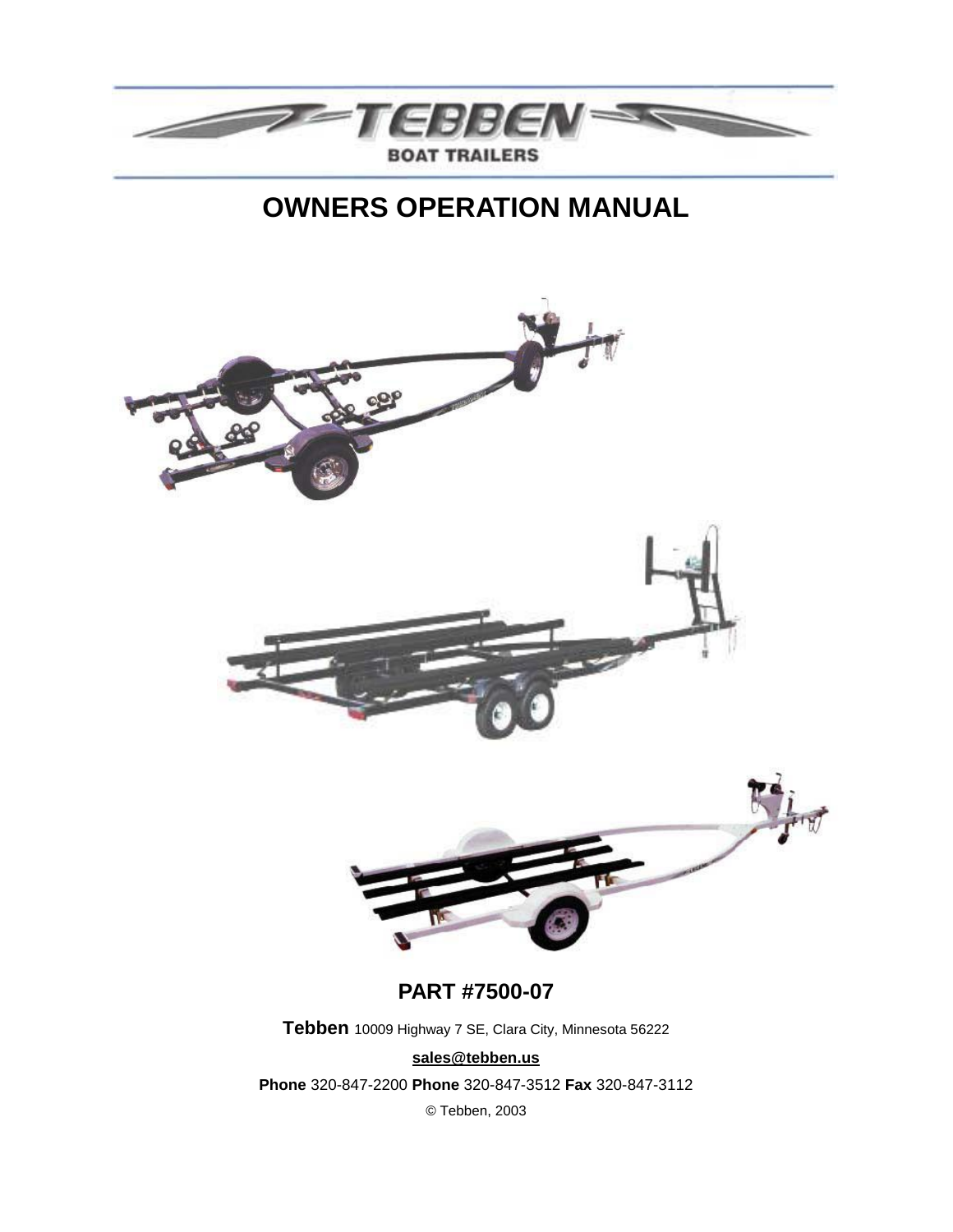

# **OWNERS OPERATION MANUAL**

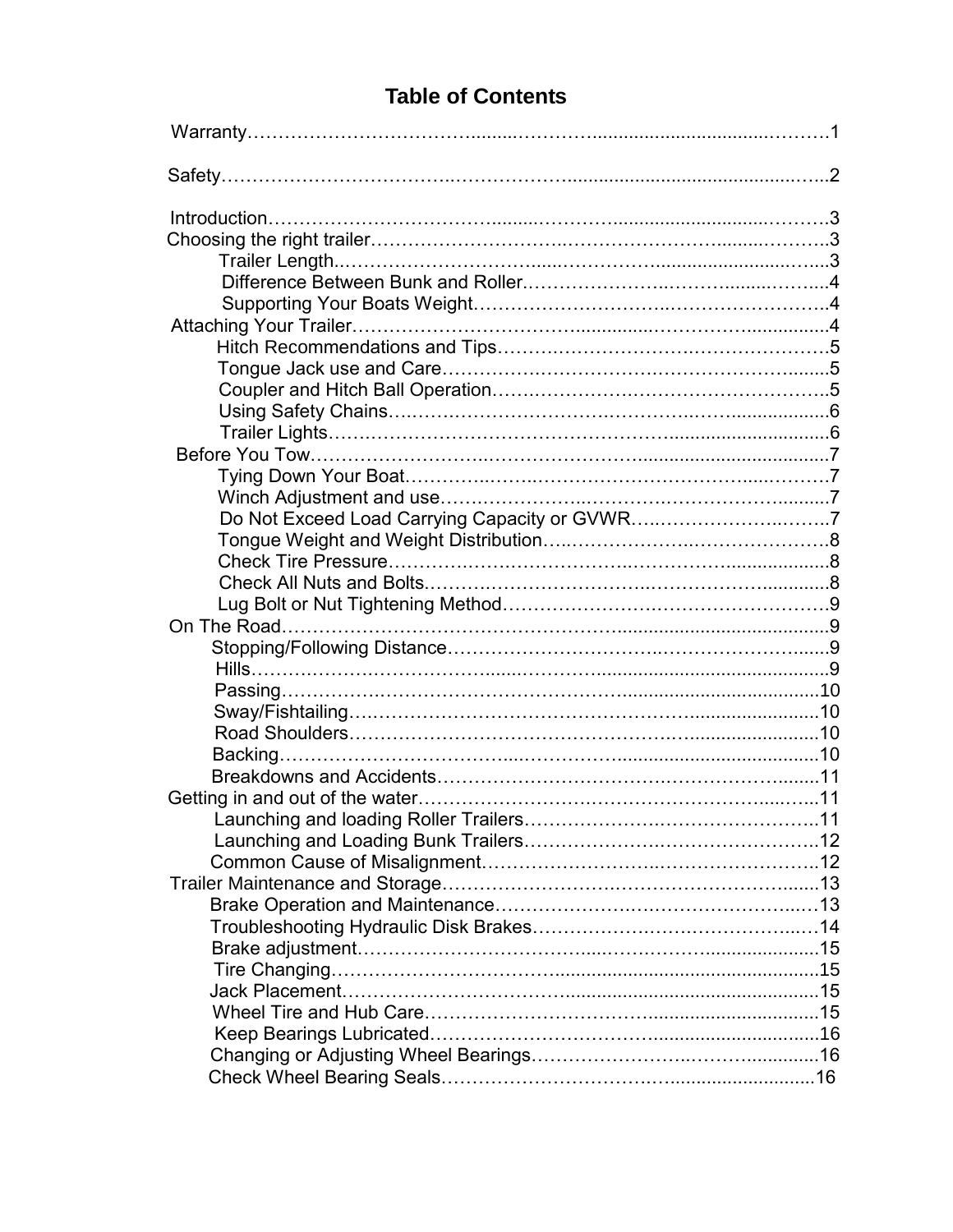| Launching and loading Roller Trailers |  |
|---------------------------------------|--|
|                                       |  |
|                                       |  |
|                                       |  |
|                                       |  |
|                                       |  |
|                                       |  |
|                                       |  |
|                                       |  |
|                                       |  |
|                                       |  |
|                                       |  |
|                                       |  |

### **Table of Contents**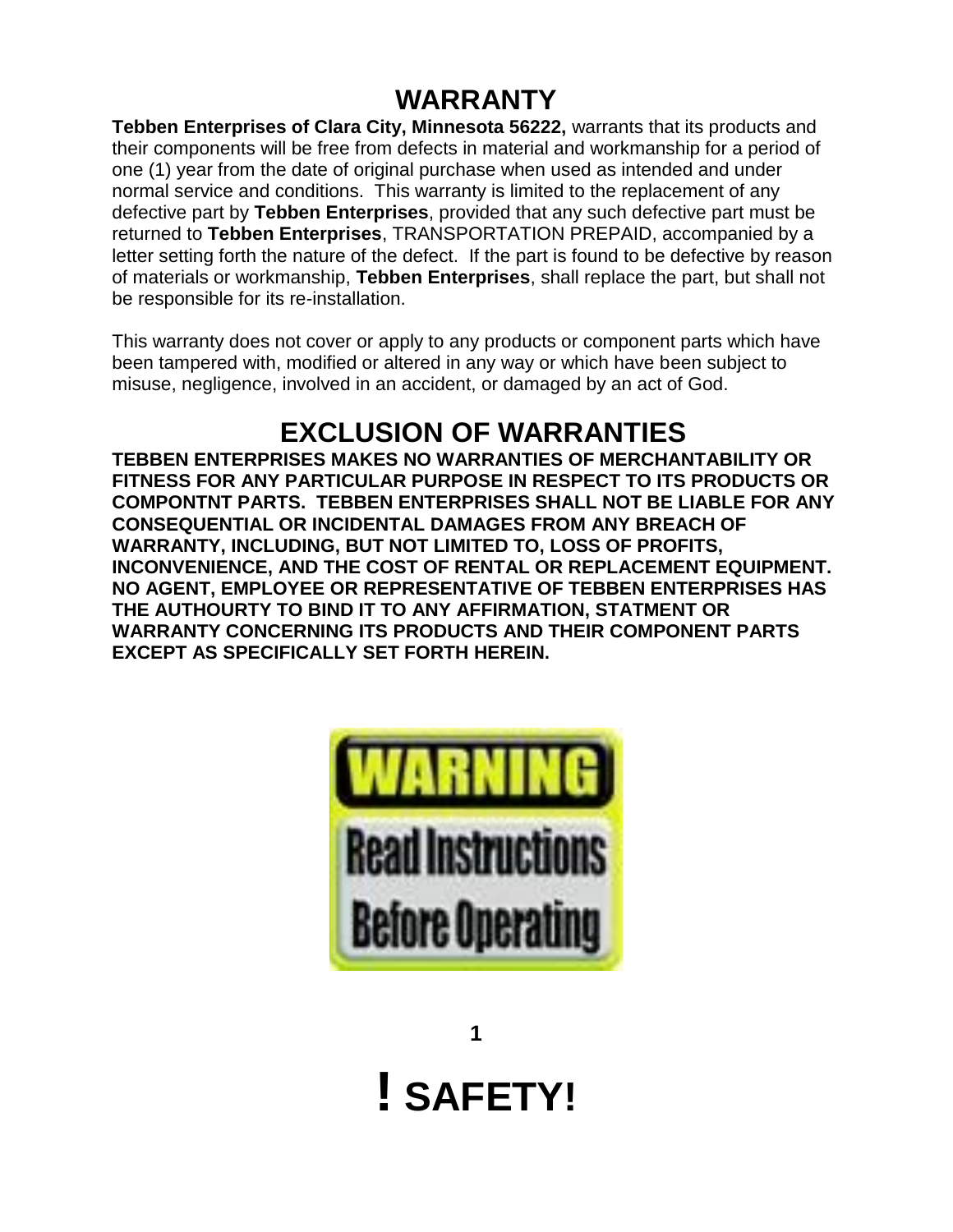# **WARRANTY**

**Tebben Enterprises of Clara City, Minnesota 56222,** warrants that its products and their components will be free from defects in material and workmanship for a period of one (1) year from the date of original purchase when used as intended and under normal service and conditions. This warranty is limited to the replacement of any defective part by **Tebben Enterprises**, provided that any such defective part must be returned to **Tebben Enterprises**, TRANSPORTATION PREPAID, accompanied by a letter setting forth the nature of the defect. If the part is found to be defective by reason of materials or workmanship, **Tebben Enterprises**, shall replace the part, but shall not be responsible for its re-installation.

This warranty does not cover or apply to any products or component parts which have been tampered with, modified or altered in any way or which have been subject to misuse, negligence, involved in an accident, or damaged by an act of God.

# **EXCLUSION OF WARRANTIES**

**TEBBEN ENTERPRISES MAKES NO WARRANTIES OF MERCHANTABILITY OR FITNESS FOR ANY PARTICULAR PURPOSE IN RESPECT TO ITS PRODUCTS OR COMPONTNT PARTS. TEBBEN ENTERPRISES SHALL NOT BE LIABLE FOR ANY CONSEQUENTIAL OR INCIDENTAL DAMAGES FROM ANY BREACH OF WARRANTY, INCLUDING, BUT NOT LIMITED TO, LOSS OF PROFITS, INCONVENIENCE, AND THE COST OF RENTAL OR REPLACEMENT EQUIPMENT. NO AGENT, EMPLOYEE OR REPRESENTATIVE OF TEBBEN ENTERPRISES HAS THE AUTHOURTY TO BIND IT TO ANY AFFIRMATION, STATMENT OR WARRANTY CONCERNING ITS PRODUCTS AND THEIR COMPONENT PARTS EXCEPT AS SPECIFICALLY SET FORTH HEREIN.**



**1 ! SAFETY!**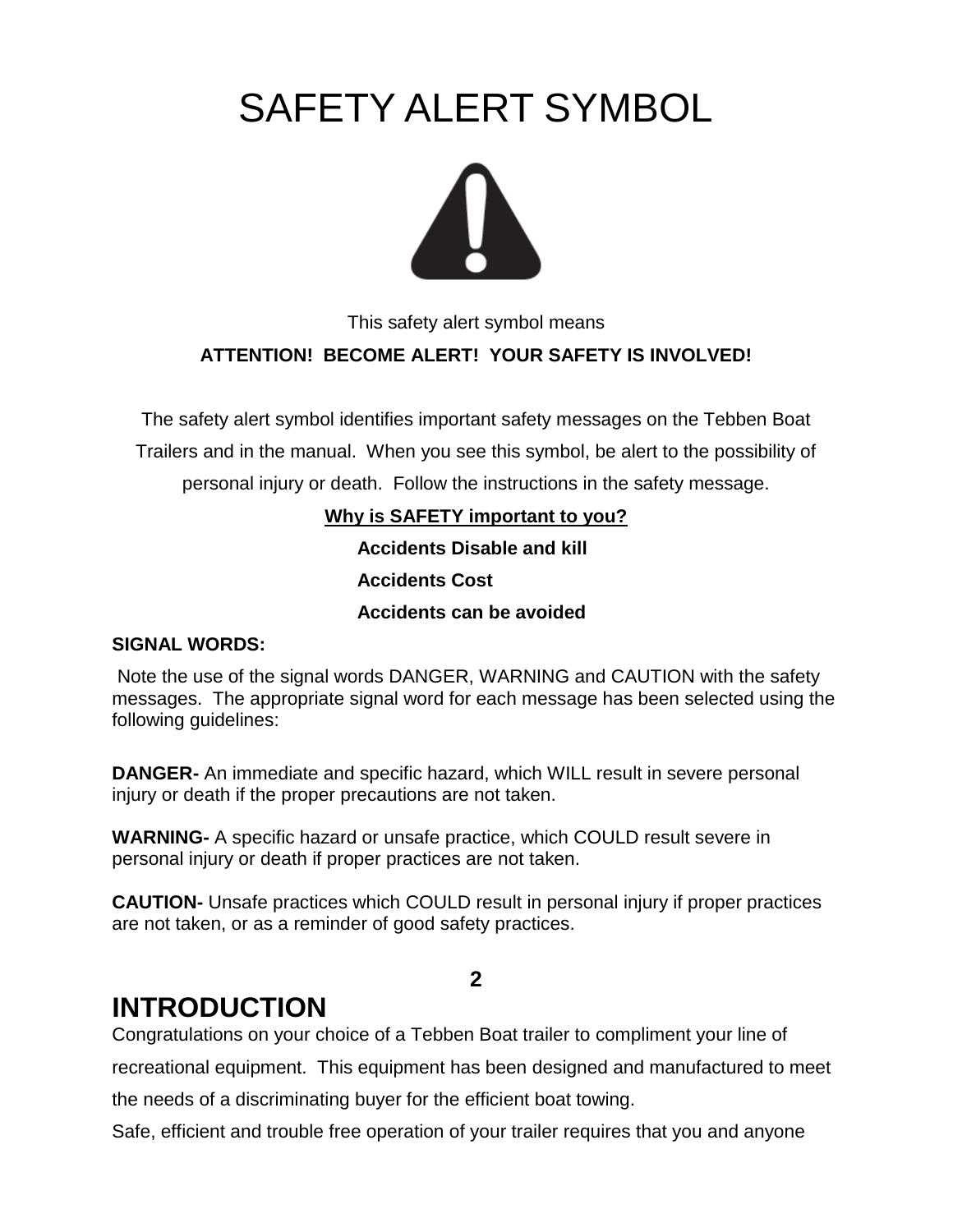# SAFETY ALERT SYMBOL



This safety alert symbol means

### **ATTENTION! BECOME ALERT! YOUR SAFETY IS INVOLVED!**

The safety alert symbol identifies important safety messages on the Tebben Boat Trailers and in the manual. When you see this symbol, be alert to the possibility of personal injury or death. Follow the instructions in the safety message.

> **Why is SAFETY important to you? Accidents Disable and kill**

 **Accidents Cost**

 **Accidents can be avoided**

#### **SIGNAL WORDS:**

Note the use of the signal words DANGER, WARNING and CAUTION with the safety messages. The appropriate signal word for each message has been selected using the following guidelines:

**DANGER-** An immediate and specific hazard, which WILL result in severe personal injury or death if the proper precautions are not taken.

**WARNING-** A specific hazard or unsafe practice, which COULD result severe in personal injury or death if proper practices are not taken.

**CAUTION-** Unsafe practices which COULD result in personal injury if proper practices are not taken, or as a reminder of good safety practices.

### **2**

# **INTRODUCTION**

Congratulations on your choice of a Tebben Boat trailer to compliment your line of recreational equipment. This equipment has been designed and manufactured to meet the needs of a discriminating buyer for the efficient boat towing.

Safe, efficient and trouble free operation of your trailer requires that you and anyone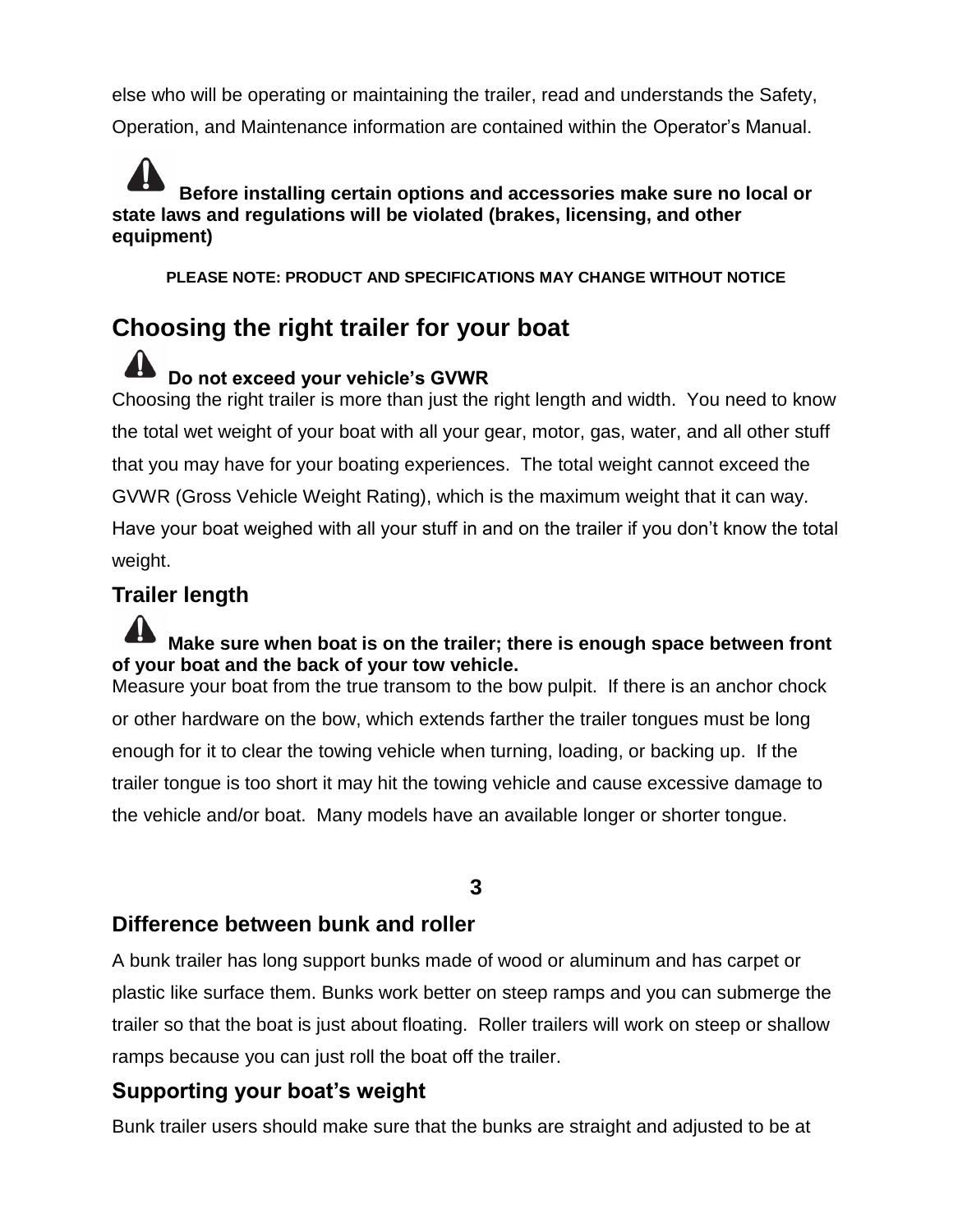else who will be operating or maintaining the trailer, read and understands the Safety, Operation, and Maintenance information are contained within the Operator's Manual.

**Before installing certain options and accessories make sure no local or state laws and regulations will be violated (brakes, licensing, and other equipment)**

**PLEASE NOTE: PRODUCT AND SPECIFICATIONS MAY CHANGE WITHOUT NOTICE**

# **Choosing the right trailer for your boat**

### **Do not exceed your vehicle's GVWR** Choosing the right trailer is more than just the right length and width. You need to know the total wet weight of your boat with all your gear, motor, gas, water, and all other stuff that you may have for your boating experiences. The total weight cannot exceed the GVWR (Gross Vehicle Weight Rating), which is the maximum weight that it can way.

Have your boat weighed with all your stuff in and on the trailer if you don't know the total weight.

### **Trailer length**

#### **Make sure when boat is on the trailer; there is enough space between front of your boat and the back of your tow vehicle.**

Measure your boat from the true transom to the bow pulpit. If there is an anchor chock or other hardware on the bow, which extends farther the trailer tongues must be long enough for it to clear the towing vehicle when turning, loading, or backing up. If the trailer tongue is too short it may hit the towing vehicle and cause excessive damage to the vehicle and/or boat. Many models have an available longer or shorter tongue.

### **3**

### **Difference between bunk and roller**

A bunk trailer has long support bunks made of wood or aluminum and has carpet or plastic like surface them. Bunks work better on steep ramps and you can submerge the trailer so that the boat is just about floating. Roller trailers will work on steep or shallow ramps because you can just roll the boat off the trailer.

### **Supporting your boat's weight**

Bunk trailer users should make sure that the bunks are straight and adjusted to be at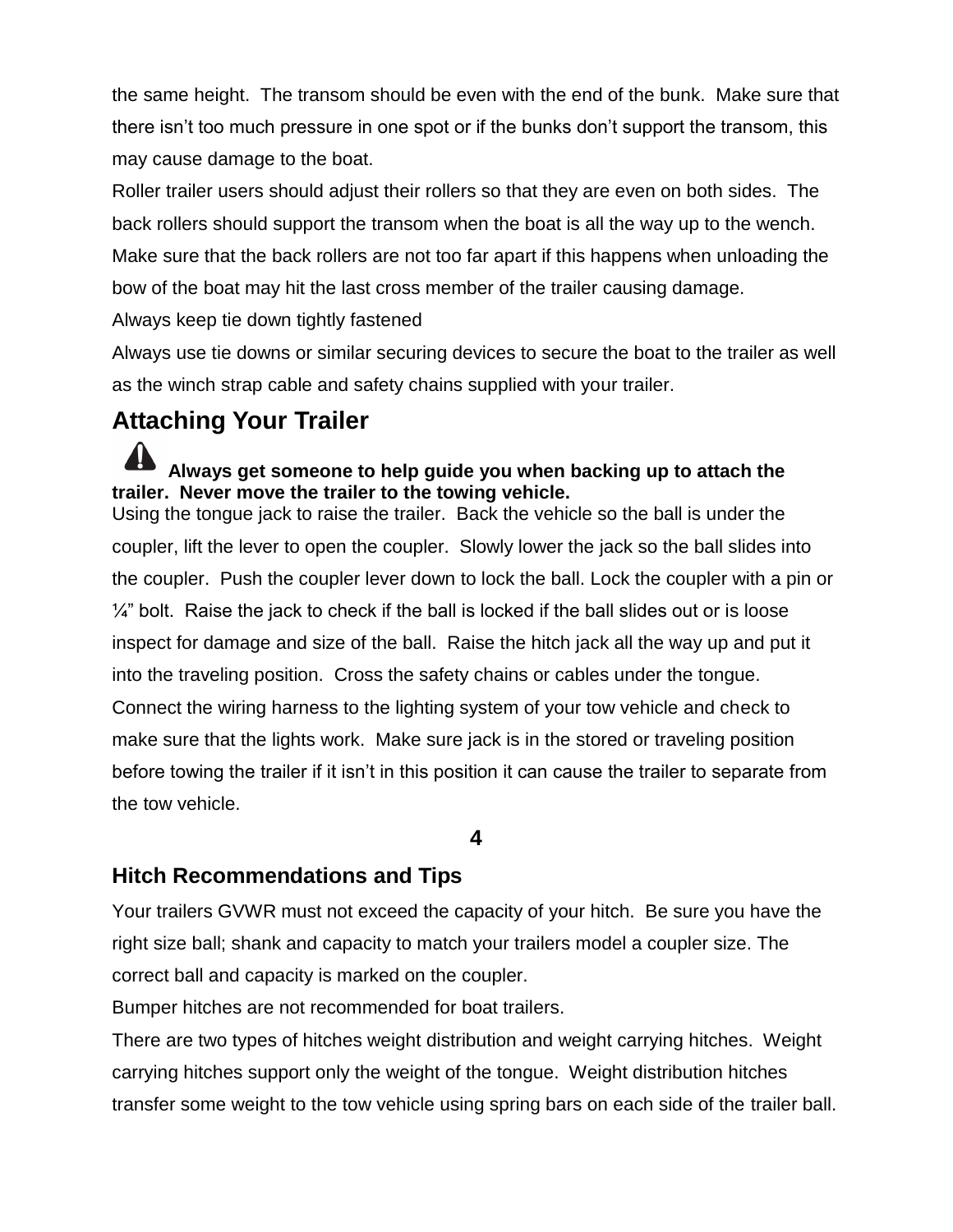the same height. The transom should be even with the end of the bunk. Make sure that there isn't too much pressure in one spot or if the bunks don't support the transom, this may cause damage to the boat.

Roller trailer users should adjust their rollers so that they are even on both sides. The back rollers should support the transom when the boat is all the way up to the wench. Make sure that the back rollers are not too far apart if this happens when unloading the bow of the boat may hit the last cross member of the trailer causing damage.

Always keep tie down tightly fastened

Always use tie downs or similar securing devices to secure the boat to the trailer as well as the winch strap cable and safety chains supplied with your trailer.

# **Attaching Your Trailer**

### **Always get someone to help guide you when backing up to attach the trailer. Never move the trailer to the towing vehicle.**

Using the tongue jack to raise the trailer. Back the vehicle so the ball is under the coupler, lift the lever to open the coupler. Slowly lower the jack so the ball slides into the coupler. Push the coupler lever down to lock the ball. Lock the coupler with a pin or  $\frac{1}{4}$ " bolt. Raise the jack to check if the ball is locked if the ball slides out or is loose inspect for damage and size of the ball. Raise the hitch jack all the way up and put it into the traveling position. Cross the safety chains or cables under the tongue. Connect the wiring harness to the lighting system of your tow vehicle and check to make sure that the lights work. Make sure jack is in the stored or traveling position before towing the trailer if it isn't in this position it can cause the trailer to separate from the tow vehicle.

#### **4**

### **Hitch Recommendations and Tips**

Your trailers GVWR must not exceed the capacity of your hitch. Be sure you have the right size ball; shank and capacity to match your trailers model a coupler size. The correct ball and capacity is marked on the coupler.

Bumper hitches are not recommended for boat trailers.

There are two types of hitches weight distribution and weight carrying hitches. Weight carrying hitches support only the weight of the tongue. Weight distribution hitches transfer some weight to the tow vehicle using spring bars on each side of the trailer ball.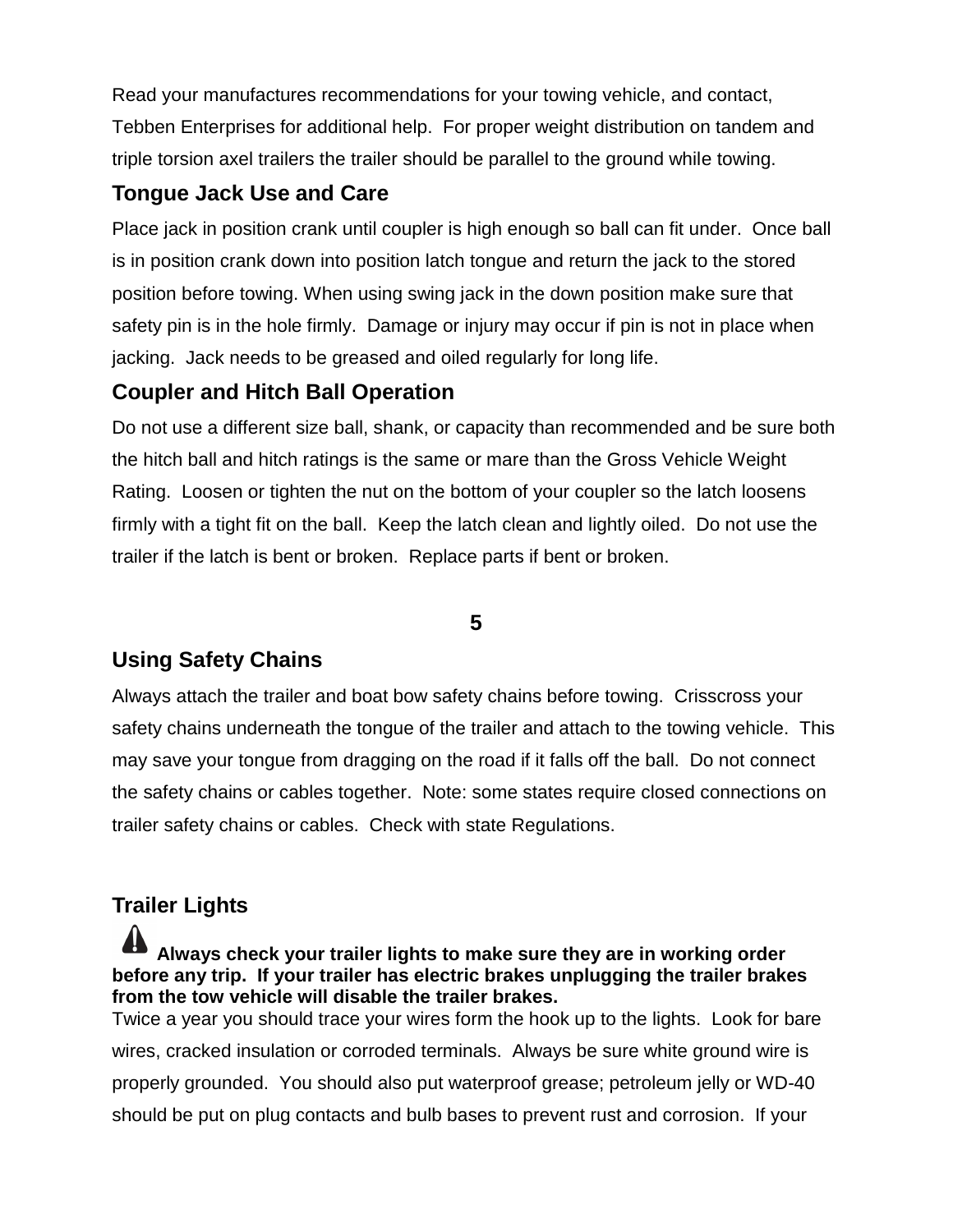Read your manufactures recommendations for your towing vehicle, and contact, Tebben Enterprises for additional help. For proper weight distribution on tandem and triple torsion axel trailers the trailer should be parallel to the ground while towing.

### **Tongue Jack Use and Care**

Place jack in position crank until coupler is high enough so ball can fit under. Once ball is in position crank down into position latch tongue and return the jack to the stored position before towing. When using swing jack in the down position make sure that safety pin is in the hole firmly. Damage or injury may occur if pin is not in place when jacking. Jack needs to be greased and oiled regularly for long life.

### **Coupler and Hitch Ball Operation**

Do not use a different size ball, shank, or capacity than recommended and be sure both the hitch ball and hitch ratings is the same or mare than the Gross Vehicle Weight Rating. Loosen or tighten the nut on the bottom of your coupler so the latch loosens firmly with a tight fit on the ball. Keep the latch clean and lightly oiled. Do not use the trailer if the latch is bent or broken. Replace parts if bent or broken.

### **5**

### **Using Safety Chains**

Always attach the trailer and boat bow safety chains before towing. Crisscross your safety chains underneath the tongue of the trailer and attach to the towing vehicle. This may save your tongue from dragging on the road if it falls off the ball. Do not connect the safety chains or cables together. Note: some states require closed connections on trailer safety chains or cables. Check with state Regulations.

### **Trailer Lights**

**Always check your trailer lights to make sure they are in working order before any trip. If your trailer has electric brakes unplugging the trailer brakes from the tow vehicle will disable the trailer brakes.** 

Twice a year you should trace your wires form the hook up to the lights. Look for bare wires, cracked insulation or corroded terminals. Always be sure white ground wire is properly grounded. You should also put waterproof grease; petroleum jelly or WD-40 should be put on plug contacts and bulb bases to prevent rust and corrosion. If your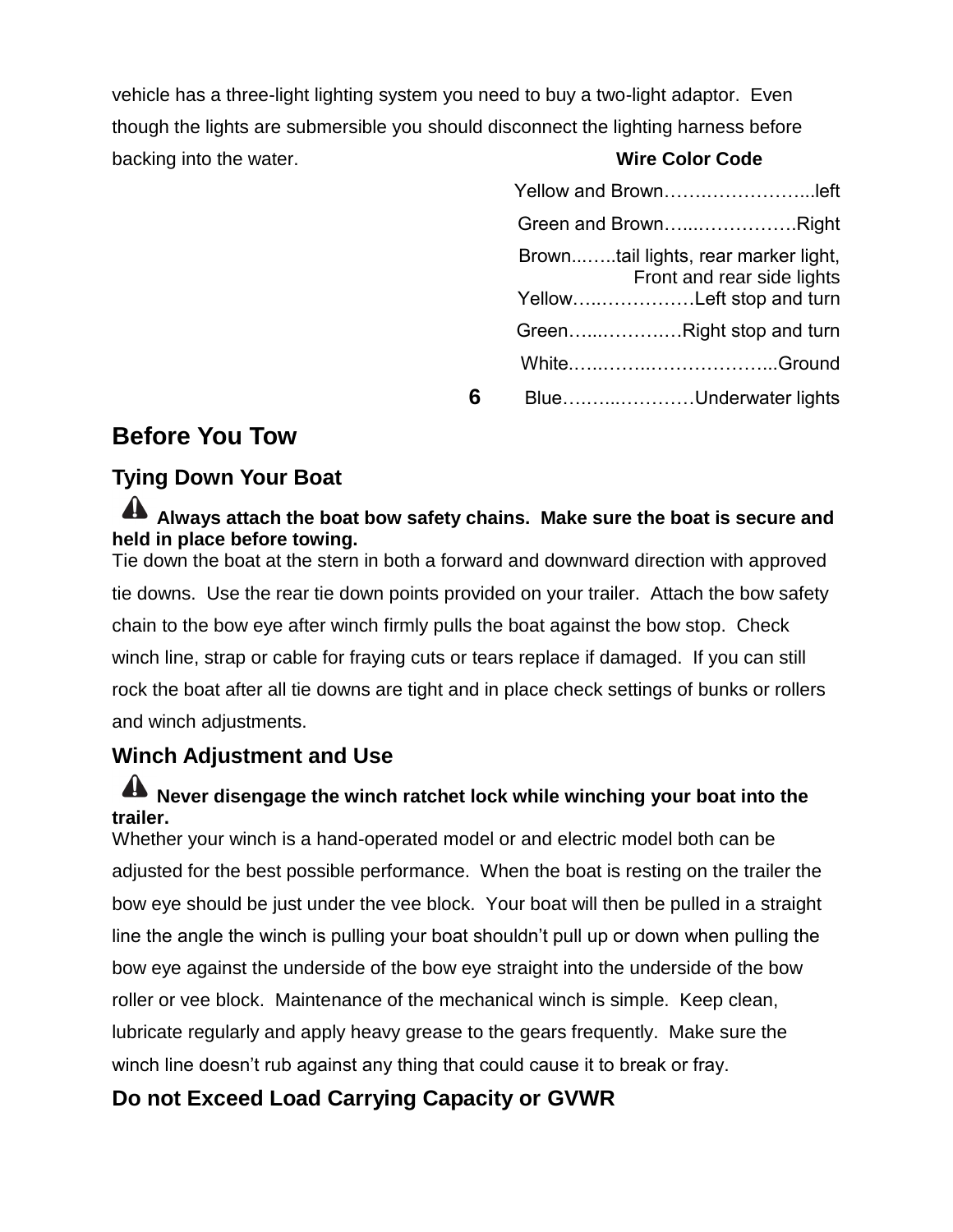vehicle has a three-light lighting system you need to buy a two-light adaptor. Even though the lights are submersible you should disconnect the lighting harness before backing into the water. **Wire Color Code**

|   | Green and BrownRight                                               |
|---|--------------------------------------------------------------------|
|   | Browntail lights, rear marker light,<br>Front and rear side lights |
|   | YellowLeft stop and turn                                           |
|   | GreenRight stop and turn                                           |
|   | WhiteGround                                                        |
| 6 | BlueUnderwater lights                                              |

### **Before You Tow**

### **Tying Down Your Boat**

### **Always attach the boat bow safety chains. Make sure the boat is secure and held in place before towing.**

Tie down the boat at the stern in both a forward and downward direction with approved tie downs. Use the rear tie down points provided on your trailer. Attach the bow safety chain to the bow eye after winch firmly pulls the boat against the bow stop. Check winch line, strap or cable for fraying cuts or tears replace if damaged. If you can still rock the boat after all tie downs are tight and in place check settings of bunks or rollers and winch adjustments.

### **Winch Adjustment and Use**

### **A** Never disengage the winch ratchet lock while winching your boat into the **trailer.**

Whether your winch is a hand-operated model or and electric model both can be adjusted for the best possible performance. When the boat is resting on the trailer the bow eye should be just under the vee block. Your boat will then be pulled in a straight line the angle the winch is pulling your boat shouldn't pull up or down when pulling the bow eye against the underside of the bow eye straight into the underside of the bow roller or vee block. Maintenance of the mechanical winch is simple. Keep clean, lubricate regularly and apply heavy grease to the gears frequently. Make sure the winch line doesn't rub against any thing that could cause it to break or fray.

### **Do not Exceed Load Carrying Capacity or GVWR**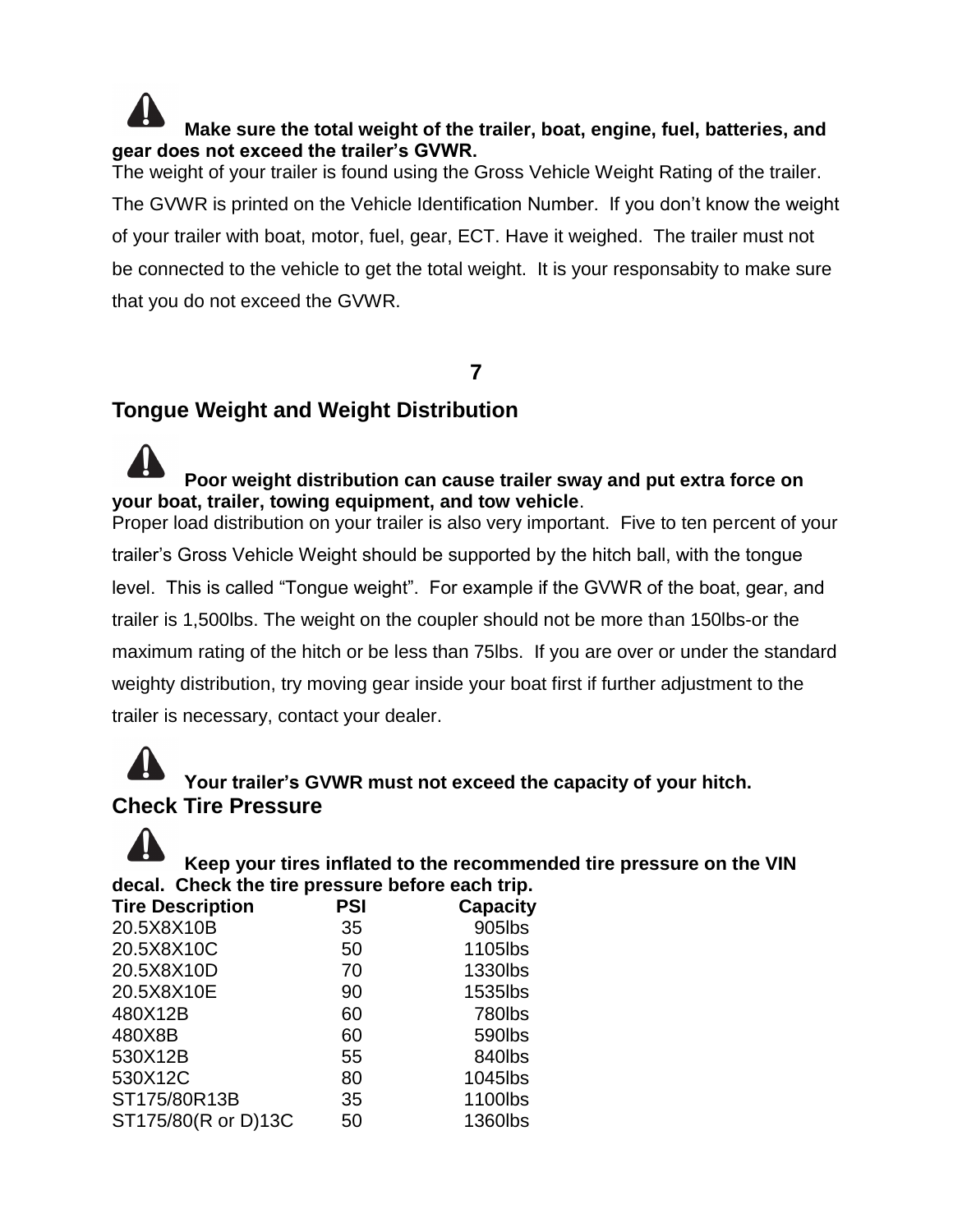**Make sure the total weight of the trailer, boat, engine, fuel, batteries, and gear does not exceed the trailer's GVWR.** The weight of your trailer is found using the Gross Vehicle Weight Rating of the trailer. The GVWR is printed on the Vehicle Identification Number. If you don't know the weight of your trailer with boat, motor, fuel, gear, ECT. Have it weighed. The trailer must not

be connected to the vehicle to get the total weight. It is your responsabity to make sure that you do not exceed the GVWR.

#### **7**

### **Tongue Weight and Weight Distribution**

### **Poor weight distribution can cause trailer sway and put extra force on your boat, trailer, towing equipment, and tow vehicle**.

Proper load distribution on your trailer is also very important. Five to ten percent of your trailer's Gross Vehicle Weight should be supported by the hitch ball, with the tongue level. This is called "Tongue weight". For example if the GVWR of the boat, gear, and trailer is 1,500lbs. The weight on the coupler should not be more than 150lbs-or the maximum rating of the hitch or be less than 75lbs. If you are over or under the standard weighty distribution, try moving gear inside your boat first if further adjustment to the trailer is necessary, contact your dealer.

# **Your trailer's GVWR must not exceed the capacity of your hitch. Check Tire Pressure**



**Keep your tires inflated to the recommended tire pressure on the VIN decal. Check the tire pressure before each trip.**

| <b>Tire Description</b> | <b>PSI</b> | <b>Capacity</b> |
|-------------------------|------------|-----------------|
| 20.5X8X10B              | 35         | 905lbs          |
| 20.5X8X10C              | 50         | 1105lbs         |
| 20.5X8X10D              | 70         | 1330lbs         |
| 20.5X8X10E              | 90         | 1535lbs         |
| 480X12B                 | 60         | 780lbs          |
| 480X8B                  | 60         | 590lbs          |
| 530X12B                 | 55         | 840lbs          |
| 530X12C                 | 80         | 1045lbs         |
| ST175/80R13B            | 35         | 1100lbs         |
| ST175/80(R or D)13C     | 50         | 1360lbs         |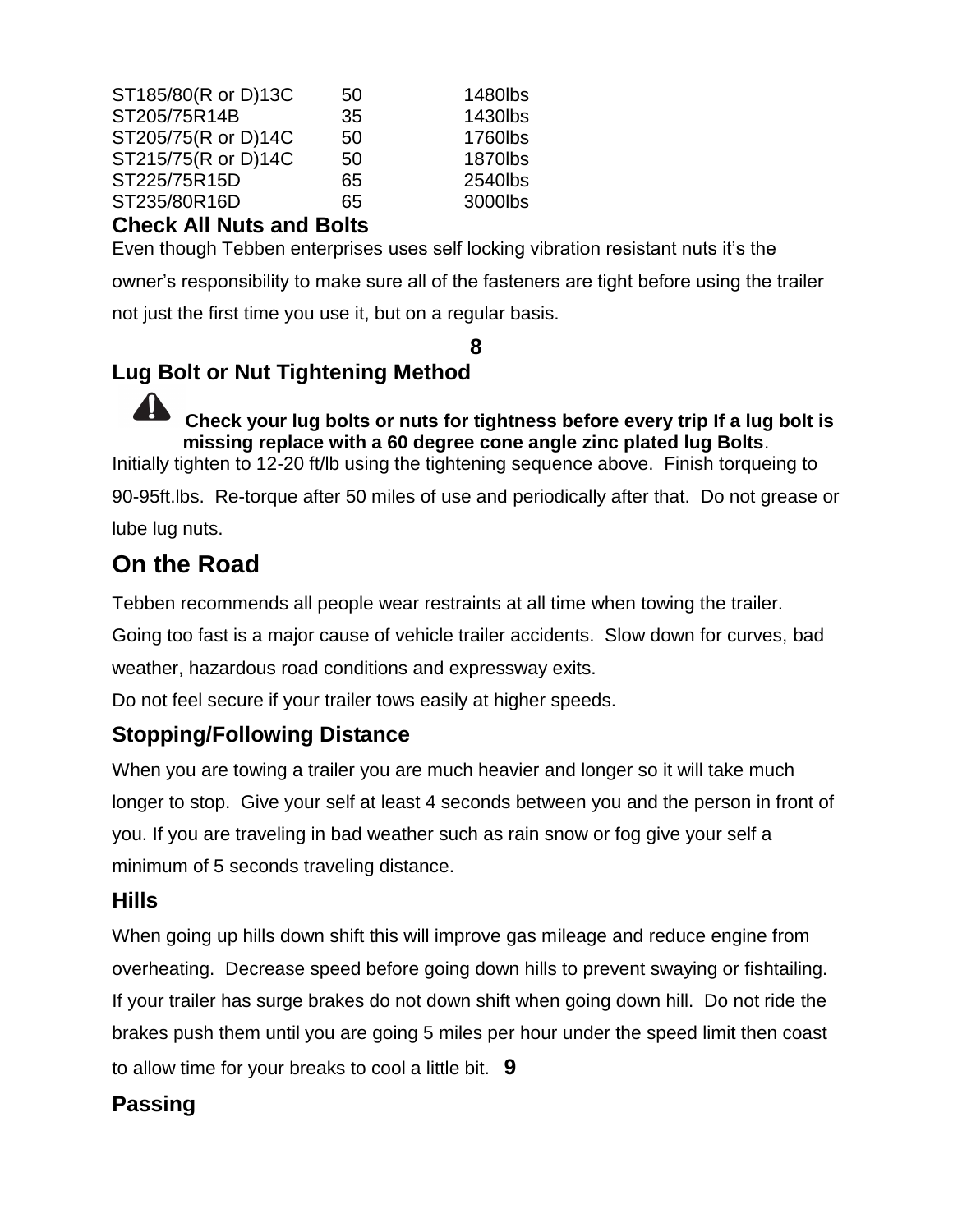| ST185/80(R or D)13C | 50 | 1480lbs |
|---------------------|----|---------|
| ST205/75R14B        | 35 | 1430lbs |
| ST205/75(R or D)14C | 50 | 1760lbs |
| ST215/75(R or D)14C | 50 | 1870lbs |
| ST225/75R15D        | 65 | 2540lbs |
| ST235/80R16D        | 65 | 3000lbs |
|                     |    |         |

### **Check All Nuts and Bolts**

Even though Tebben enterprises uses self locking vibration resistant nuts it's the owner's responsibility to make sure all of the fasteners are tight before using the trailer not just the first time you use it, but on a regular basis.

#### **8**

### **Lug Bolt or Nut Tightening Method**

**Check your lug bolts or nuts for tightness before every trip If a lug bolt is missing replace with a 60 degree cone angle zinc plated lug Bolts**.

Initially tighten to 12-20 ft/lb using the tightening sequence above. Finish torqueing to

90-95ft.lbs. Re-torque after 50 miles of use and periodically after that. Do not grease or lube lug nuts.

## **On the Road**

Tebben recommends all people wear restraints at all time when towing the trailer.

Going too fast is a major cause of vehicle trailer accidents. Slow down for curves, bad

weather, hazardous road conditions and expressway exits.

Do not feel secure if your trailer tows easily at higher speeds.

### **Stopping/Following Distance**

When you are towing a trailer you are much heavier and longer so it will take much longer to stop. Give your self at least 4 seconds between you and the person in front of you. If you are traveling in bad weather such as rain snow or fog give your self a minimum of 5 seconds traveling distance.

### **Hills**

When going up hills down shift this will improve gas mileage and reduce engine from overheating. Decrease speed before going down hills to prevent swaying or fishtailing. If your trailer has surge brakes do not down shift when going down hill. Do not ride the brakes push them until you are going 5 miles per hour under the speed limit then coast to allow time for your breaks to cool a little bit. **9**

### **Passing**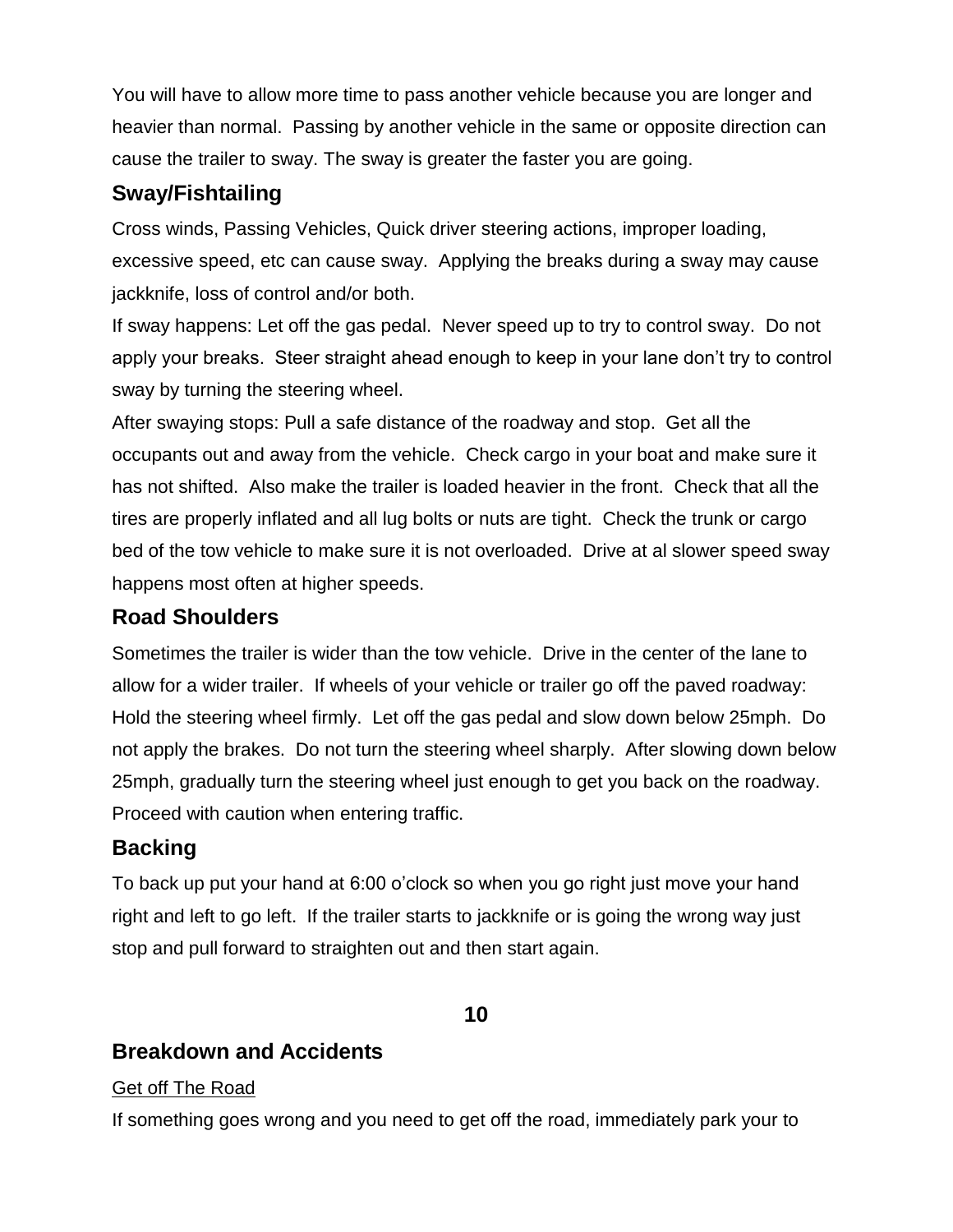You will have to allow more time to pass another vehicle because you are longer and heavier than normal. Passing by another vehicle in the same or opposite direction can cause the trailer to sway. The sway is greater the faster you are going.

### **Sway/Fishtailing**

Cross winds, Passing Vehicles, Quick driver steering actions, improper loading, excessive speed, etc can cause sway. Applying the breaks during a sway may cause jackknife, loss of control and/or both.

If sway happens: Let off the gas pedal. Never speed up to try to control sway. Do not apply your breaks. Steer straight ahead enough to keep in your lane don't try to control sway by turning the steering wheel.

After swaying stops: Pull a safe distance of the roadway and stop. Get all the occupants out and away from the vehicle. Check cargo in your boat and make sure it has not shifted. Also make the trailer is loaded heavier in the front. Check that all the tires are properly inflated and all lug bolts or nuts are tight. Check the trunk or cargo bed of the tow vehicle to make sure it is not overloaded. Drive at al slower speed sway happens most often at higher speeds.

### **Road Shoulders**

Sometimes the trailer is wider than the tow vehicle. Drive in the center of the lane to allow for a wider trailer. If wheels of your vehicle or trailer go off the paved roadway: Hold the steering wheel firmly. Let off the gas pedal and slow down below 25mph. Do not apply the brakes. Do not turn the steering wheel sharply. After slowing down below 25mph, gradually turn the steering wheel just enough to get you back on the roadway. Proceed with caution when entering traffic.

### **Backing**

To back up put your hand at 6:00 o'clock so when you go right just move your hand right and left to go left. If the trailer starts to jackknife or is going the wrong way just stop and pull forward to straighten out and then start again.

#### **10**

### **Breakdown and Accidents**

#### Get off The Road

If something goes wrong and you need to get off the road, immediately park your to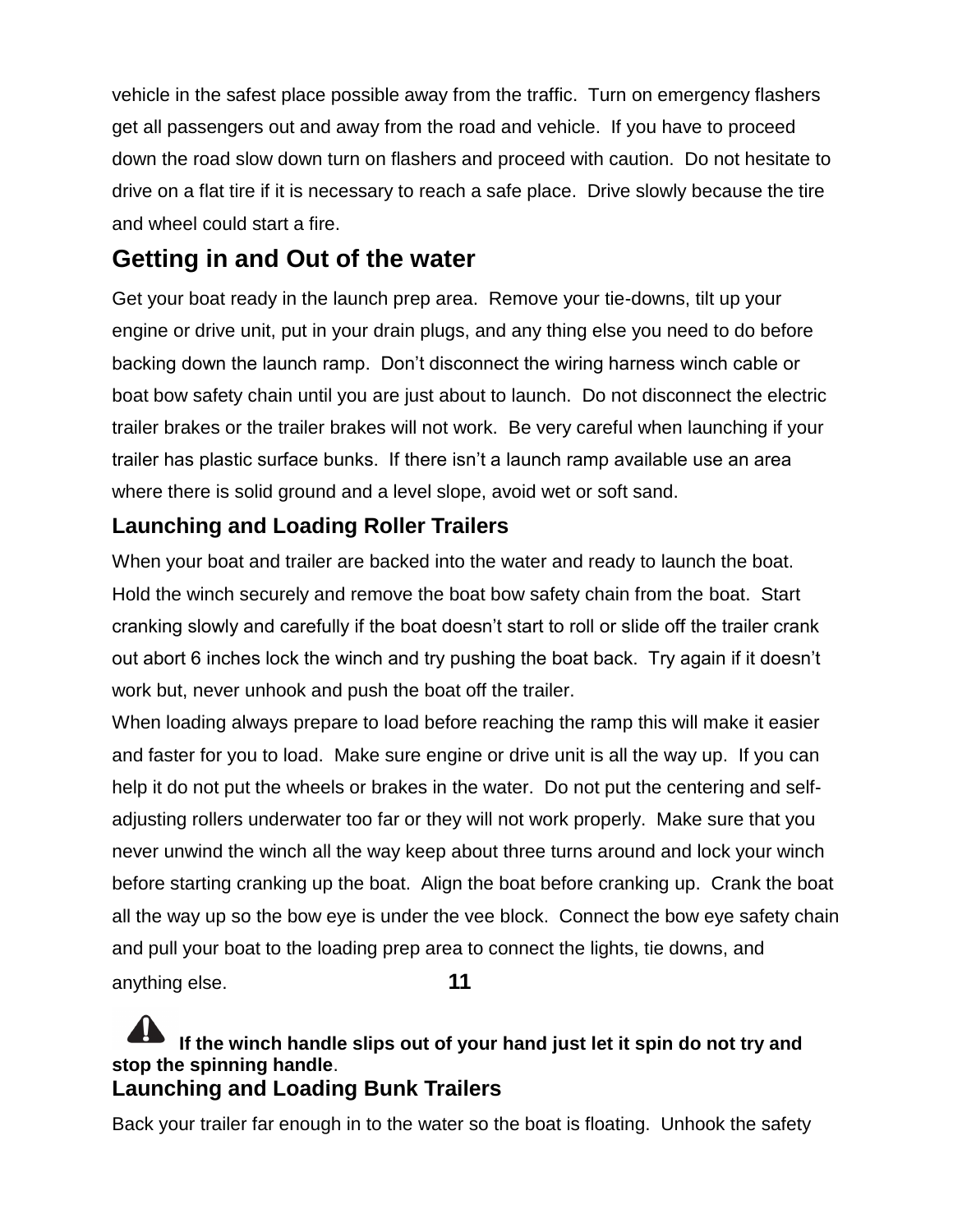vehicle in the safest place possible away from the traffic. Turn on emergency flashers get all passengers out and away from the road and vehicle. If you have to proceed down the road slow down turn on flashers and proceed with caution. Do not hesitate to drive on a flat tire if it is necessary to reach a safe place. Drive slowly because the tire and wheel could start a fire.

## **Getting in and Out of the water**

Get your boat ready in the launch prep area. Remove your tie-downs, tilt up your engine or drive unit, put in your drain plugs, and any thing else you need to do before backing down the launch ramp. Don't disconnect the wiring harness winch cable or boat bow safety chain until you are just about to launch. Do not disconnect the electric trailer brakes or the trailer brakes will not work. Be very careful when launching if your trailer has plastic surface bunks. If there isn't a launch ramp available use an area where there is solid ground and a level slope, avoid wet or soft sand.

### **Launching and Loading Roller Trailers**

When your boat and trailer are backed into the water and ready to launch the boat. Hold the winch securely and remove the boat bow safety chain from the boat. Start cranking slowly and carefully if the boat doesn't start to roll or slide off the trailer crank out abort 6 inches lock the winch and try pushing the boat back. Try again if it doesn't work but, never unhook and push the boat off the trailer.

When loading always prepare to load before reaching the ramp this will make it easier and faster for you to load. Make sure engine or drive unit is all the way up. If you can help it do not put the wheels or brakes in the water. Do not put the centering and selfadjusting rollers underwater too far or they will not work properly. Make sure that you never unwind the winch all the way keep about three turns around and lock your winch before starting cranking up the boat. Align the boat before cranking up. Crank the boat all the way up so the bow eye is under the vee block. Connect the bow eye safety chain and pull your boat to the loading prep area to connect the lights, tie downs, and anything else. **11**

### **If the winch handle slips out of your hand just let it spin do not try and stop the spinning handle**. **Launching and Loading Bunk Trailers**

Back your trailer far enough in to the water so the boat is floating. Unhook the safety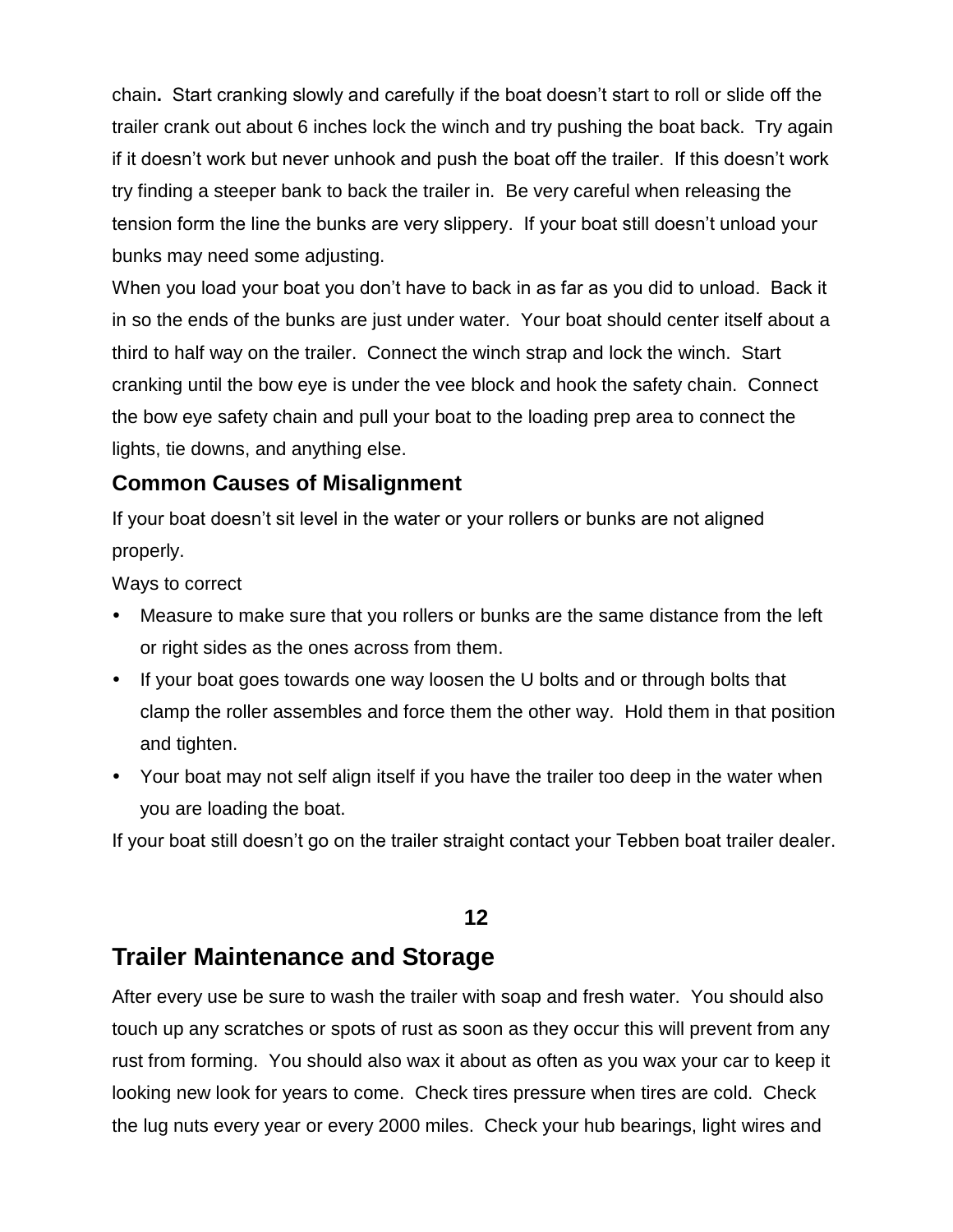chain**.** Start cranking slowly and carefully if the boat doesn't start to roll or slide off the trailer crank out about 6 inches lock the winch and try pushing the boat back. Try again if it doesn't work but never unhook and push the boat off the trailer. If this doesn't work try finding a steeper bank to back the trailer in. Be very careful when releasing the tension form the line the bunks are very slippery. If your boat still doesn't unload your bunks may need some adjusting.

When you load your boat you don't have to back in as far as you did to unload. Back it in so the ends of the bunks are just under water. Your boat should center itself about a third to half way on the trailer. Connect the winch strap and lock the winch. Start cranking until the bow eye is under the vee block and hook the safety chain. Connect the bow eye safety chain and pull your boat to the loading prep area to connect the lights, tie downs, and anything else.

### **Common Causes of Misalignment**

If your boat doesn't sit level in the water or your rollers or bunks are not aligned properly.

Ways to correct

- Measure to make sure that you rollers or bunks are the same distance from the left or right sides as the ones across from them.
- If your boat goes towards one way loosen the U bolts and or through bolts that clamp the roller assembles and force them the other way. Hold them in that position and tighten.
- Your boat may not self align itself if you have the trailer too deep in the water when you are loading the boat.

If your boat still doesn't go on the trailer straight contact your Tebben boat trailer dealer.

### **12**

### **Trailer Maintenance and Storage**

After every use be sure to wash the trailer with soap and fresh water. You should also touch up any scratches or spots of rust as soon as they occur this will prevent from any rust from forming. You should also wax it about as often as you wax your car to keep it looking new look for years to come. Check tires pressure when tires are cold. Check the lug nuts every year or every 2000 miles. Check your hub bearings, light wires and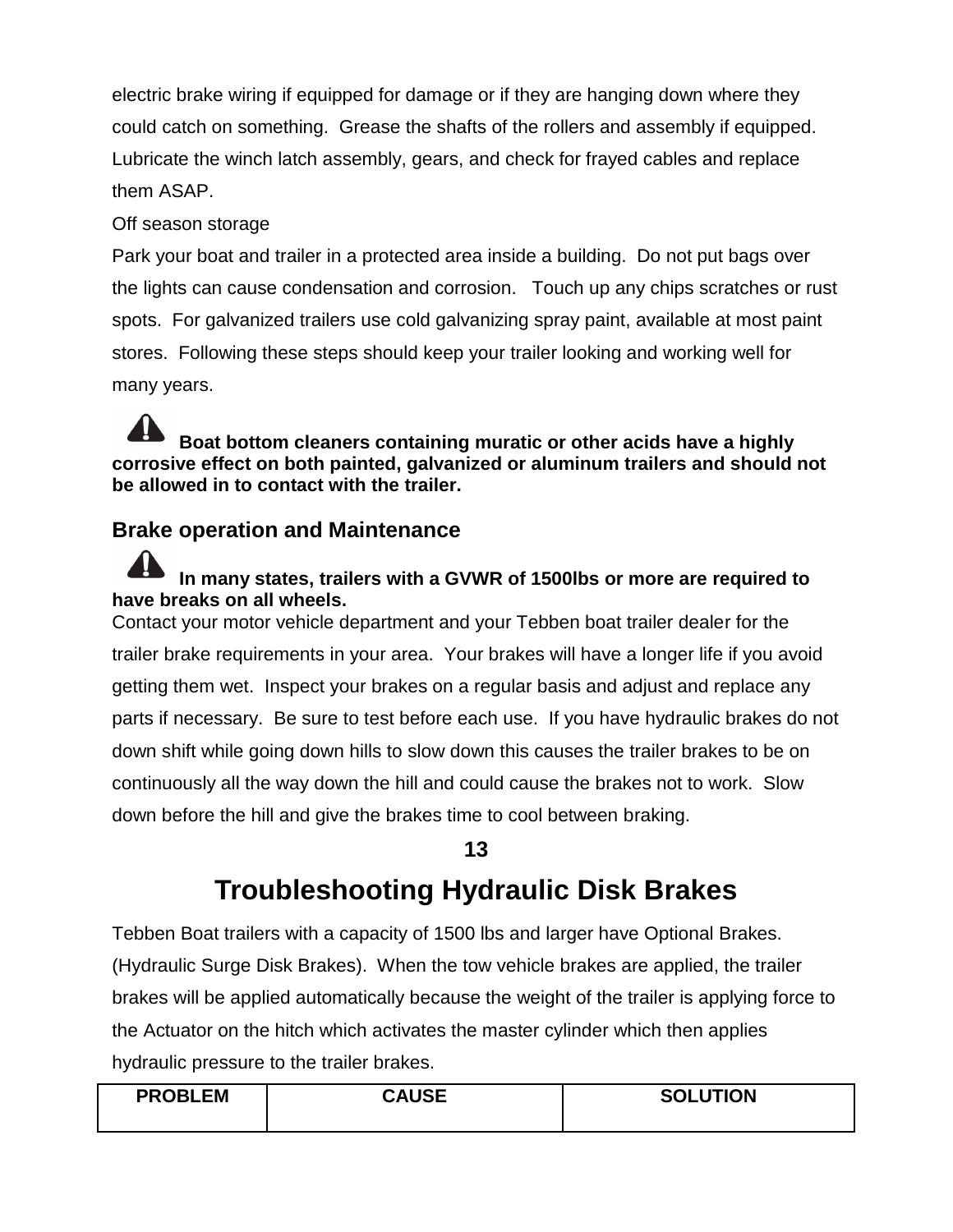electric brake wiring if equipped for damage or if they are hanging down where they could catch on something. Grease the shafts of the rollers and assembly if equipped. Lubricate the winch latch assembly, gears, and check for frayed cables and replace them ASAP.

#### Off season storage

Park your boat and trailer in a protected area inside a building. Do not put bags over the lights can cause condensation and corrosion. Touch up any chips scratches or rust spots. For galvanized trailers use cold galvanizing spray paint, available at most paint stores. Following these steps should keep your trailer looking and working well for many years.

**Boat bottom cleaners containing muratic or other acids have a highly corrosive effect on both painted, galvanized or aluminum trailers and should not be allowed in to contact with the trailer.**

### **Brake operation and Maintenance**

### **In many states, trailers with a GVWR of 1500lbs or more are required to have breaks on all wheels.**

Contact your motor vehicle department and your Tebben boat trailer dealer for the trailer brake requirements in your area. Your brakes will have a longer life if you avoid getting them wet. Inspect your brakes on a regular basis and adjust and replace any parts if necessary. Be sure to test before each use. If you have hydraulic brakes do not down shift while going down hills to slow down this causes the trailer brakes to be on continuously all the way down the hill and could cause the brakes not to work. Slow down before the hill and give the brakes time to cool between braking.

### **13**

# **Troubleshooting Hydraulic Disk Brakes**

Tebben Boat trailers with a capacity of 1500 lbs and larger have Optional Brakes. (Hydraulic Surge Disk Brakes). When the tow vehicle brakes are applied, the trailer brakes will be applied automatically because the weight of the trailer is applying force to the Actuator on the hitch which activates the master cylinder which then applies hydraulic pressure to the trailer brakes.

| <b>PROBLEM</b> | <b>CAUSE</b> | <b>SOLUTION</b> |
|----------------|--------------|-----------------|
|                |              |                 |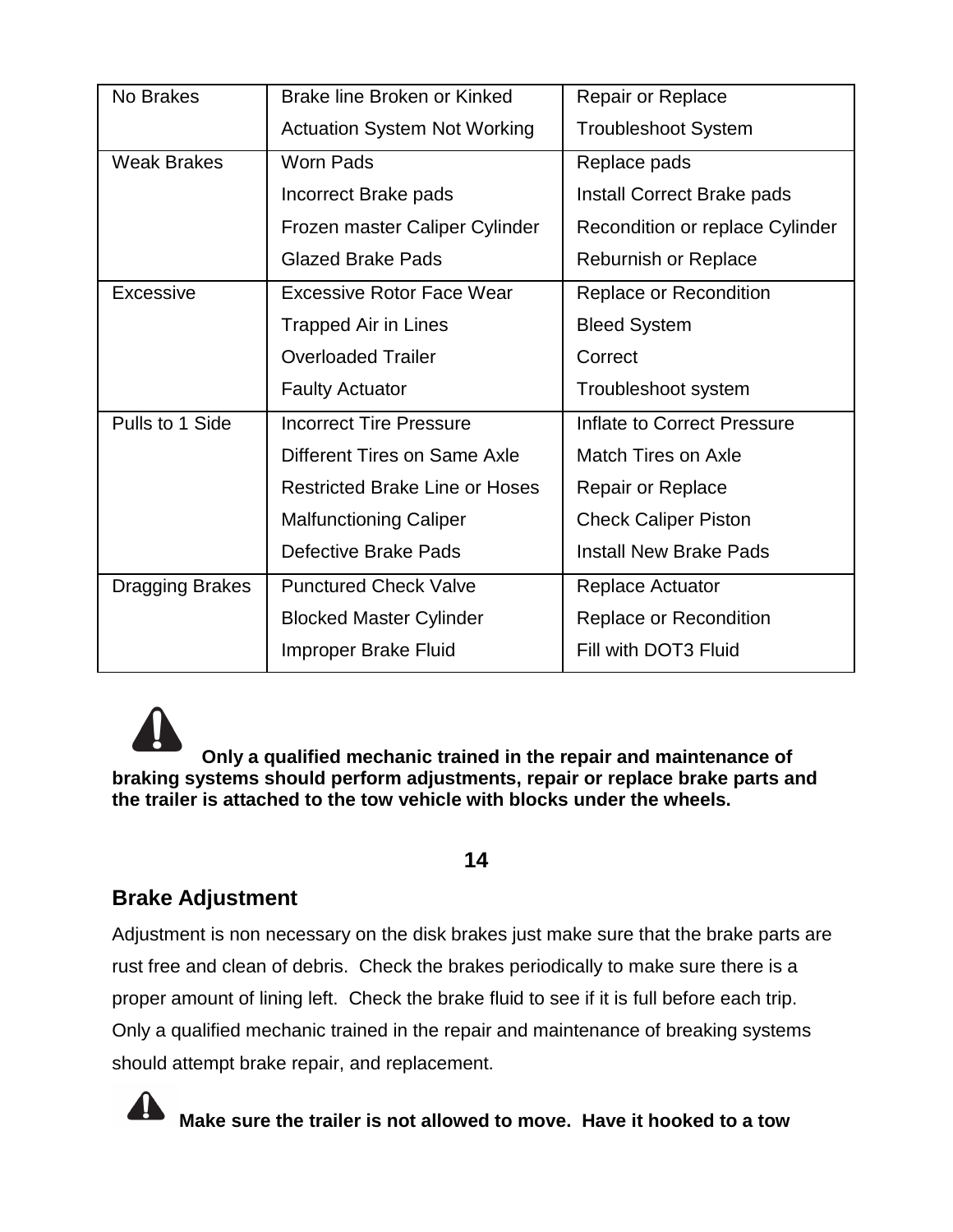| No Brakes          | Brake line Broken or Kinked           | <b>Repair or Replace</b>               |
|--------------------|---------------------------------------|----------------------------------------|
|                    | <b>Actuation System Not Working</b>   | <b>Troubleshoot System</b>             |
| <b>Weak Brakes</b> | <b>Worn Pads</b>                      | Replace pads                           |
|                    | Incorrect Brake pads                  | Install Correct Brake pads             |
|                    | Frozen master Caliper Cylinder        | <b>Recondition or replace Cylinder</b> |
|                    | <b>Glazed Brake Pads</b>              | <b>Reburnish or Replace</b>            |
| <b>Excessive</b>   | <b>Excessive Rotor Face Wear</b>      | Replace or Recondition                 |
|                    | <b>Trapped Air in Lines</b>           | <b>Bleed System</b>                    |
|                    | <b>Overloaded Trailer</b>             | Correct                                |
|                    | <b>Faulty Actuator</b>                | Troubleshoot system                    |
|                    |                                       |                                        |
| Pulls to 1 Side    | <b>Incorrect Tire Pressure</b>        | Inflate to Correct Pressure            |
|                    | Different Tires on Same Axle          | <b>Match Tires on Axle</b>             |
|                    | <b>Restricted Brake Line or Hoses</b> | <b>Repair or Replace</b>               |
|                    | <b>Malfunctioning Caliper</b>         | <b>Check Caliper Piston</b>            |
|                    | Defective Brake Pads                  | <b>Install New Brake Pads</b>          |
| Dragging Brakes    | <b>Punctured Check Valve</b>          | Replace Actuator                       |
|                    | <b>Blocked Master Cylinder</b>        | Replace or Recondition                 |

**Only a qualified mechanic trained in the repair and maintenance of braking systems should perform adjustments, repair or replace brake parts and the trailer is attached to the tow vehicle with blocks under the wheels.**

#### **14**

### **Brake Adjustment**

Adjustment is non necessary on the disk brakes just make sure that the brake parts are rust free and clean of debris. Check the brakes periodically to make sure there is a proper amount of lining left. Check the brake fluid to see if it is full before each trip. Only a qualified mechanic trained in the repair and maintenance of breaking systems should attempt brake repair, and replacement.



**Make sure the trailer is not allowed to move. Have it hooked to a tow**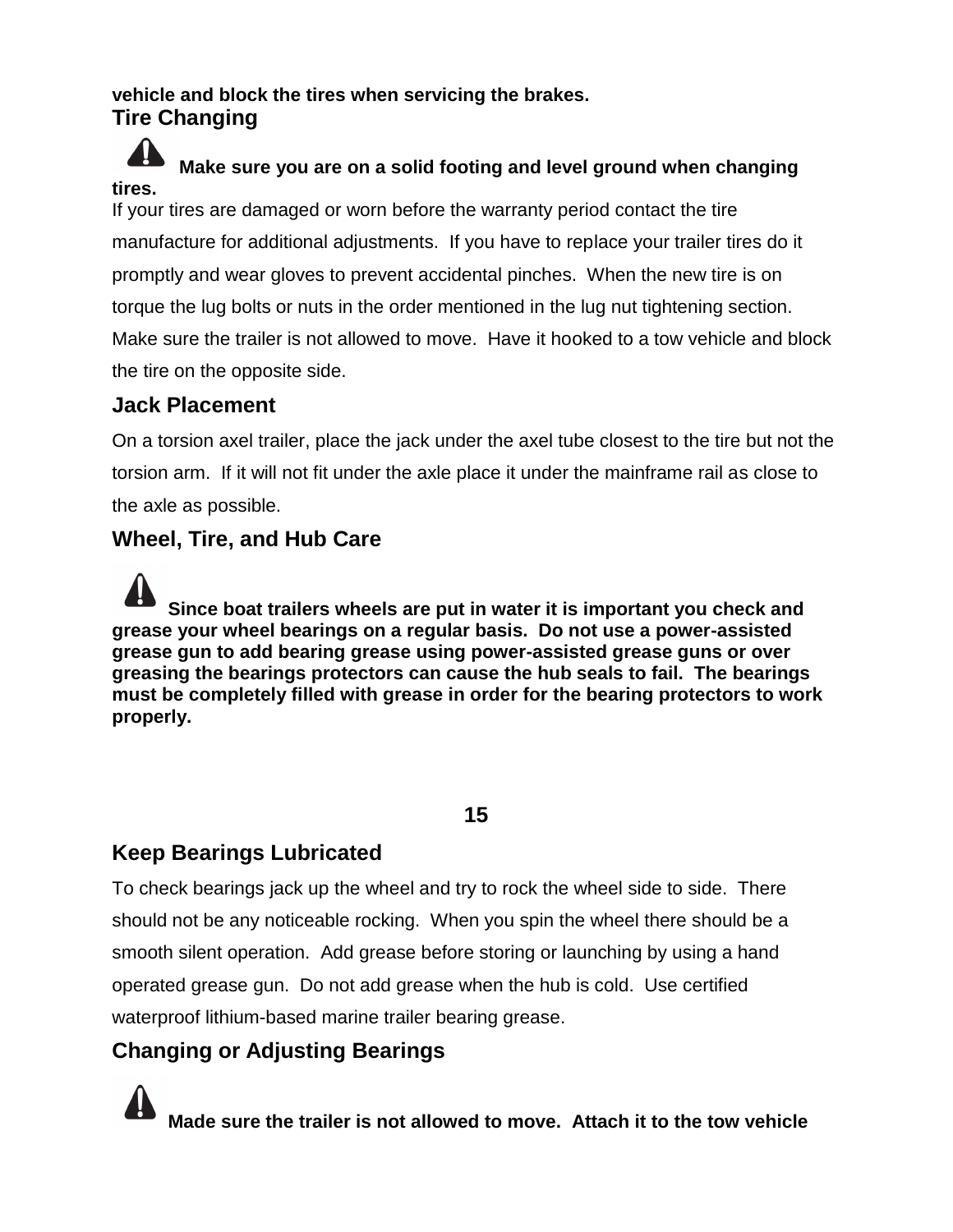### **vehicle and block the tires when servicing the brakes. Tire Changing**

#### 41 **Make sure you are on a solid footing and level ground when changing tires.**

If your tires are damaged or worn before the warranty period contact the tire manufacture for additional adjustments. If you have to replace your trailer tires do it promptly and wear gloves to prevent accidental pinches. When the new tire is on torque the lug bolts or nuts in the order mentioned in the lug nut tightening section. Make sure the trailer is not allowed to move. Have it hooked to a tow vehicle and block the tire on the opposite side.

### **Jack Placement**

On a torsion axel trailer, place the jack under the axel tube closest to the tire but not the torsion arm. If it will not fit under the axle place it under the mainframe rail as close to the axle as possible.

### **Wheel, Tire, and Hub Care**

**Since boat trailers wheels are put in water it is important you check and grease your wheel bearings on a regular basis. Do not use a power-assisted grease gun to add bearing grease using power-assisted grease guns or over greasing the bearings protectors can cause the hub seals to fail. The bearings must be completely filled with grease in order for the bearing protectors to work properly.**

### **15**

### **Keep Bearings Lubricated**

To check bearings jack up the wheel and try to rock the wheel side to side. There should not be any noticeable rocking. When you spin the wheel there should be a smooth silent operation. Add grease before storing or launching by using a hand operated grease gun. Do not add grease when the hub is cold. Use certified waterproof lithium-based marine trailer bearing grease.

### **Changing or Adjusting Bearings**

**Made sure the trailer is not allowed to move. Attach it to the tow vehicle**